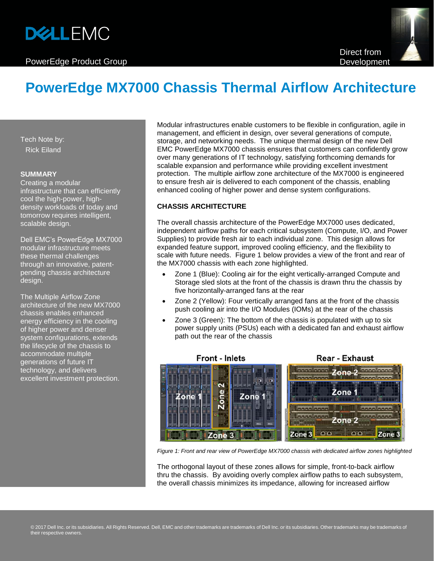# **DELLEMC**

## PowerEdge Product Group



# **PowerEdge MX7000 Chassis Thermal Airflow Architecture**

Tech Note by: Rick Eiland

#### **SUMMARY**

Creating a modular infrastructure that can efficiently cool the high-power, highdensity workloads of today and tomorrow requires intelligent, scalable design.

Dell EMC's PowerEdge MX7000 modular infrastructure meets these thermal challenges through an innovative, patentpending chassis architecture design.

The Multiple Airflow Zone architecture of the new MX7000 chassis enables enhanced energy efficiency in the cooling of higher power and denser system configurations, extends the lifecycle of the chassis to accommodate multiple generations of future IT technology, and delivers excellent investment protection.

Modular infrastructures enable customers to be flexible in configuration, agile in management, and efficient in design, over several generations of compute, storage, and networking needs. The unique thermal design of the new Dell EMC PowerEdge MX7000 chassis ensures that customers can confidently grow over many generations of IT technology, satisfying forthcoming demands for scalable expansion and performance while providing excellent investment protection. The multiple airflow zone architecture of the MX7000 is engineered to ensure fresh air is delivered to each component of the chassis, enabling enhanced cooling of higher power and dense system configurations.

### **CHASSIS ARCHITECTURE**

The overall chassis architecture of the PowerEdge MX7000 uses dedicated, independent airflow paths for each critical subsystem (Compute, I/O, and Power Supplies) to provide fresh air to each individual zone. This design allows for expanded feature support, improved cooling efficiency, and the flexibility to scale with future needs. Figure 1 below provides a view of the front and rear of the MX7000 chassis with each zone highlighted.

- Zone 1 (Blue): Cooling air for the eight vertically-arranged Compute and Storage sled slots at the front of the chassis is drawn thru the chassis by five horizontally-arranged fans at the rear
- Zone 2 (Yellow): Four vertically arranged fans at the front of the chassis push cooling air into the I/O Modules (IOMs) at the rear of the chassis
- Zone 3 (Green): The bottom of the chassis is populated with up to six power supply units (PSUs) each with a dedicated fan and exhaust airflow path out the rear of the chassis



*Figure 1: Front and rear view of PowerEdge MX7000 chassis with dedicated airflow zones highlighted*

The orthogonal layout of these zones allows for simple, front-to-back airflow thru the chassis. By avoiding overly complex airflow paths to each subsystem, the overall chassis minimizes its impedance, allowing for increased airflow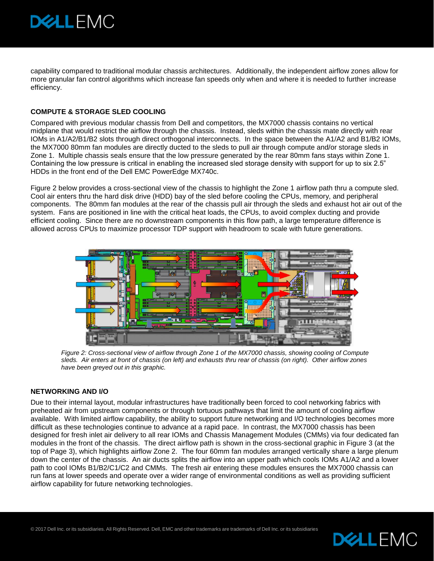

capability compared to traditional modular chassis architectures. Additionally, the independent airflow zones allow for more granular fan control algorithms which increase fan speeds only when and where it is needed to further increase efficiency.

#### **COMPUTE & STORAGE SLED COOLING**

Compared with previous modular chassis from Dell and competitors, the MX7000 chassis contains no vertical midplane that would restrict the airflow through the chassis. Instead, sleds within the chassis mate directly with rear IOMs in A1/A2/B1/B2 slots through direct orthogonal interconnects. In the space between the A1/A2 and B1/B2 IOMs, the MX7000 80mm fan modules are directly ducted to the sleds to pull air through compute and/or storage sleds in Zone 1. Multiple chassis seals ensure that the low pressure generated by the rear 80mm fans stays within Zone 1. Containing the low pressure is critical in enabling the increased sled storage density with support for up to six 2.5" HDDs in the front end of the Dell EMC PowerEdge MX740c.

Figure 2 below provides a cross-sectional view of the chassis to highlight the Zone 1 airflow path thru a compute sled. Cool air enters thru the hard disk drive (HDD) bay of the sled before cooling the CPUs, memory, and peripheral components. The 80mm fan modules at the rear of the chassis pull air through the sleds and exhaust hot air out of the system. Fans are positioned in line with the critical heat loads, the CPUs, to avoid complex ducting and provide efficient cooling. Since there are no downstream components in this flow path, a large temperature difference is allowed across CPUs to maximize processor TDP support with headroom to scale with future generations.



*Figure 2: Cross-sectional view of airflow through Zone 1 of the MX7000 chassis, showing cooling of Compute sleds. Air enters at front of chassis (on left) and exhausts thru rear of chassis (on right). Other airflow zones have been greyed out in this graphic.* 

#### **NETWORKING AND I/O**

Due to their internal layout, modular infrastructures have traditionally been forced to cool networking fabrics with preheated air from upstream components or through tortuous pathways that limit the amount of cooling airflow available. With limited airflow capability, the ability to support future networking and I/O technologies becomes more difficult as these technologies continue to advance at a rapid pace. In contrast, the MX7000 chassis has been designed for fresh inlet air delivery to all rear IOMs and Chassis Management Modules (CMMs) via four dedicated fan modules in the front of the chassis. The direct airflow path is shown in the cross-sectional graphic in Figure 3 (at the top of Page 3), which highlights airflow Zone 2. The four 60mm fan modules arranged vertically share a large plenum down the center of the chassis. An air ducts splits the airflow into an upper path which cools IOMs A1/A2 and a lower path to cool IOMs B1/B2/C1/C2 and CMMs. The fresh air entering these modules ensures the MX7000 chassis can run fans at lower speeds and operate over a wider range of environmental conditions as well as providing sufficient airflow capability for future networking technologies.